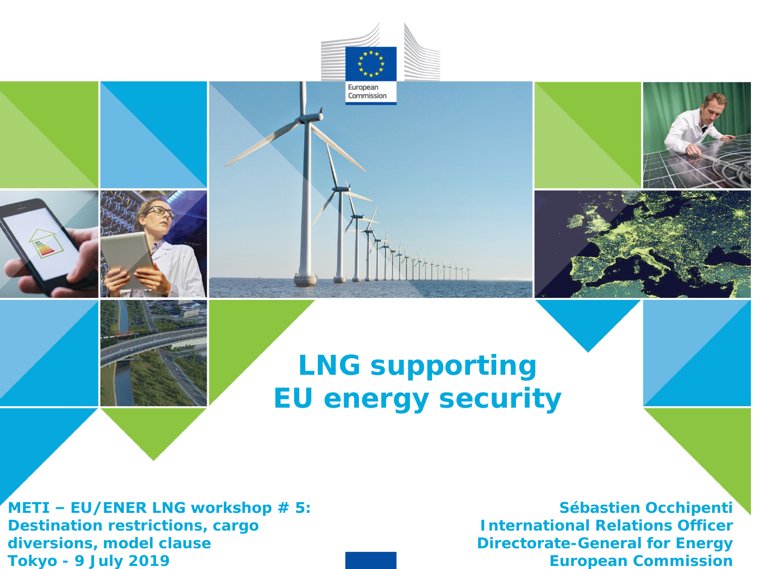

THTT

European Commission

**METI ‒ EU/ENER LNG workshop # 5: Destination restrictions, cargo diversions, model clause Tokyo - 9 July 2019**

**Sébastien Occhipenti International Relations Officer Directorate-General for Energy European Commission**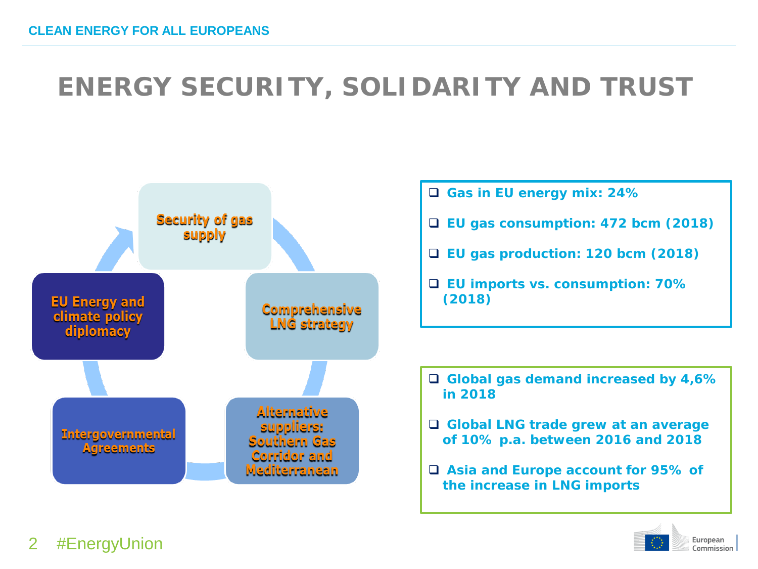## **ENERGY SECURITY, SOLIDARITY AND TRUST**



- **Gas in EU energy mix: 24%**
- **EU gas consumption: 472 bcm (2018)**
- **EU gas production: 120 bcm (2018)**
- **EU imports vs. consumption: 70% (2018)**

 **Global gas demand increased by 4,6% in 2018**

- **Global LNG trade grew at an average of 10% p.a. between 2016 and 2018**
- **Asia and Europe account for 95% of the increase in LNG imports**



#### #EnergyUnion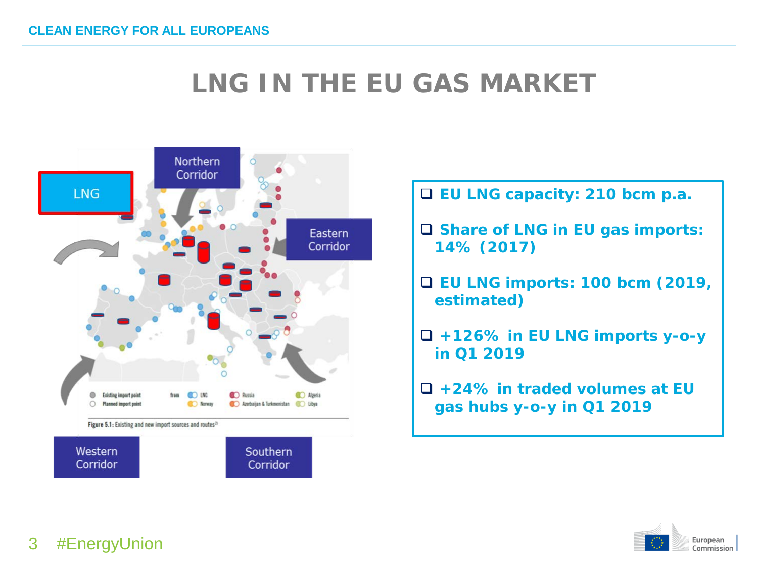### **LNG IN THE EU GAS MARKET**



**EU LNG capacity: 210 bcm p.a.**

- **Share of LNG in EU gas imports: 14% (2017)**
- **EU LNG imports: 100 bcm (2019, estimated)**
- **+126% in EU LNG imports y-o-y in Q1 2019**
- **+24% in traded volumes at EU gas hubs y-o-y in Q1 2019**



#### 3 #EnergyUnion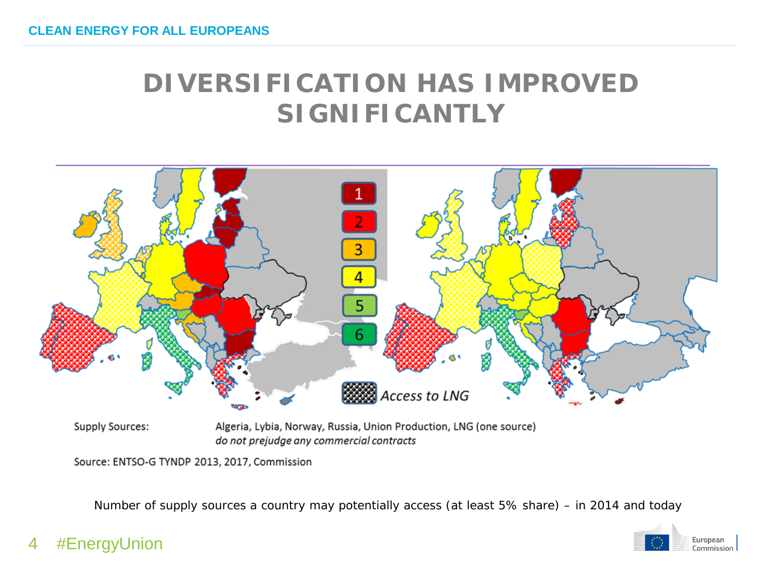### **DIVERSIFICATION HAS IMPROVED SIGNIFICANTLY**



**Supply Sources:** 

Algeria, Lybia, Norway, Russia, Union Production, LNG (one source) do not prejudge any commercial contracts

Source: ENTSO-G TYNDP 2013, 2017, Commission

*Number of supply sources a country may potentially access (at least 5% share) – in 2014 and today*



4 #EnergyUnion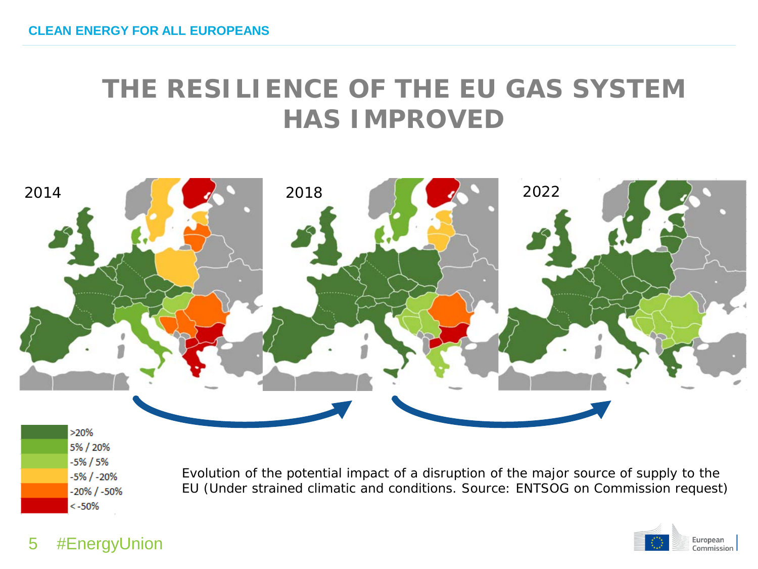### **THE RESILIENCE OF THE EU GAS SYSTEM HAS IMPROVED**



5% / 20%  $-5\% / 5\%$  $-5\%$  /  $-20\%$  $-20\%$  /  $-50\%$  $< -50%$ 

*Evolution of the potential impact of a disruption of the major source of supply to the EU (*Under strained climatic and conditions. Source: ENTSOG on Commission request)